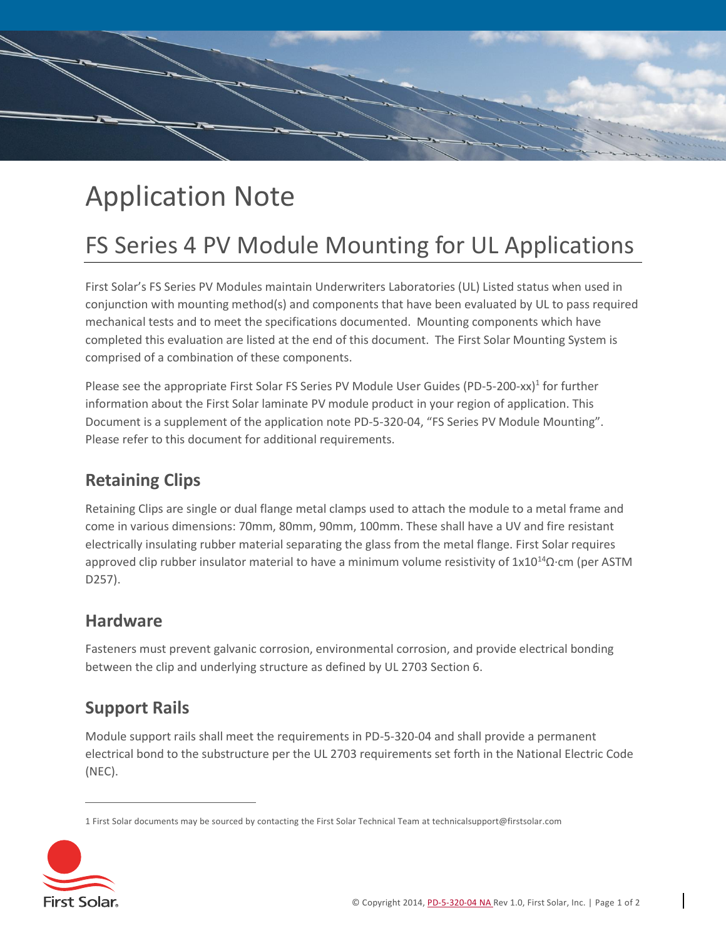

# Application Note

## FS Series 4 PV Module Mounting for UL Applications

First Solar's FS Series PV Modules maintain Underwriters Laboratories (UL) Listed status when used in conjunction with mounting method(s) and components that have been evaluated by UL to pass required mechanical tests and to meet the specifications documented. Mounting components which have completed this evaluation are listed at the end of this document. The First Solar Mounting System is comprised of a combination of these components.

Please see the appropriate First Solar FS Series PV Module User Guides (PD-5-200-xx)<sup>1</sup> for further information about the First Solar laminate PV module product in your region of application. This Document is a supplement of the application note PD-5-320-04, "FS Series PV Module Mounting". Please refer to this document for additional requirements.

#### **Retaining Clips**

Retaining Clips are single or dual flange metal clamps used to attach the module to a metal frame and come in various dimensions: 70mm, 80mm, 90mm, 100mm. These shall have a UV and fire resistant electrically insulating rubber material separating the glass from the metal flange. First Solar requires approved clip rubber insulator material to have a minimum volume resistivity of 1x10<sup>14</sup>Ω·cm (per ASTM D257).

#### **Hardware**

Fasteners must prevent galvanic corrosion, environmental corrosion, and provide electrical bonding between the clip and underlying structure as defined by UL 2703 Section 6.

#### **Support Rails**

Module support rails shall meet the requirements in PD-5-320-04 and shall provide a permanent electrical bond to the substructure per the UL 2703 requirements set forth in the National Electric Code (NEC).

<sup>1</sup> First Solar documents may be sourced by contacting the First Solar Technical Team at technicalsupport@firstsolar.com



 $\overline{a}$